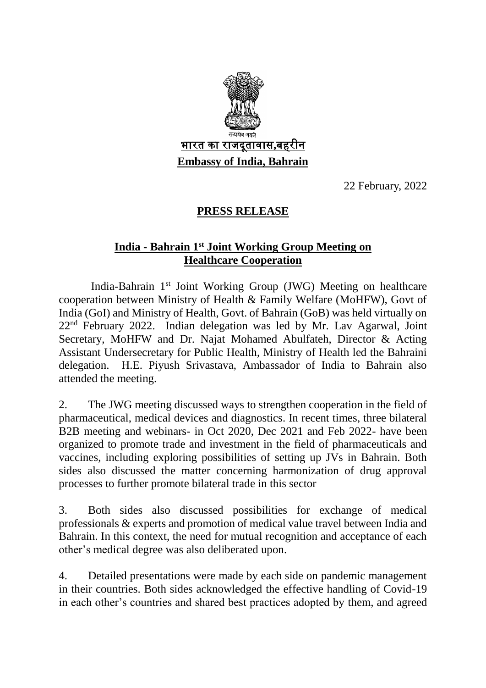

22 February, 2022

## **PRESS RELEASE**

## **India - Bahrain 1st Joint Working Group Meeting on Healthcare Cooperation**

India-Bahrain 1st Joint Working Group (JWG) Meeting on healthcare cooperation between Ministry of Health & Family Welfare (MoHFW), Govt of India (GoI) and Ministry of Health, Govt. of Bahrain (GoB) was held virtually on 22nd February 2022. Indian delegation was led by Mr. Lav Agarwal, Joint Secretary, MoHFW and Dr. Najat Mohamed Abulfateh, Director & Acting Assistant Undersecretary for Public Health, Ministry of Health led the Bahraini delegation. H.E. Piyush Srivastava, Ambassador of India to Bahrain also attended the meeting.

2. The JWG meeting discussed ways to strengthen cooperation in the field of pharmaceutical, medical devices and diagnostics. In recent times, three bilateral B2B meeting and webinars- in Oct 2020, Dec 2021 and Feb 2022- have been organized to promote trade and investment in the field of pharmaceuticals and vaccines, including exploring possibilities of setting up JVs in Bahrain. Both sides also discussed the matter concerning harmonization of drug approval processes to further promote bilateral trade in this sector

3. Both sides also discussed possibilities for exchange of medical professionals & experts and promotion of medical value travel between India and Bahrain. In this context, the need for mutual recognition and acceptance of each other's medical degree was also deliberated upon.

4. Detailed presentations were made by each side on pandemic management in their countries. Both sides acknowledged the effective handling of Covid-19 in each other's countries and shared best practices adopted by them, and agreed